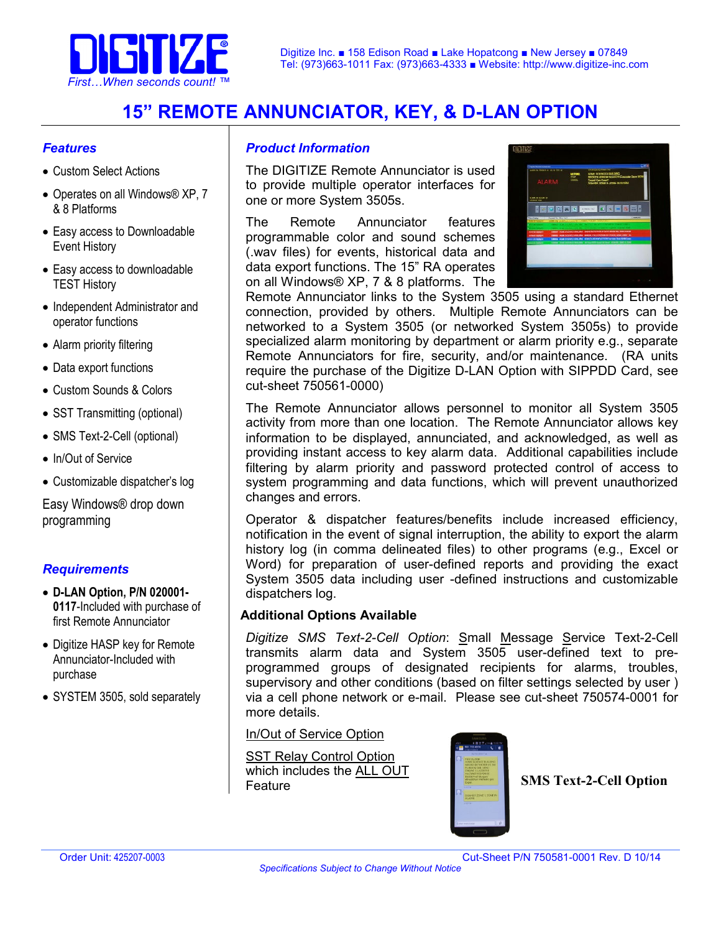

# **15" REMOTE ANNUNCIATOR, KEY, & D-LAN OPTION**

#### *Features*

- Custom Select Actions
- Operates on all Windows® XP, 7 & 8 Platforms
- Easy access to Downloadable Event History
- Easy access to downloadable TEST History
- Independent Administrator and operator functions
- Alarm priority filtering
- Data export functions
- Custom Sounds & Colors
- SST Transmitting (optional)
- SMS Text-2-Cell (optional)
- In/Out of Service
- Customizable dispatcher's log

Easy Windows® drop down programming

#### *Requirements*

- **D-LAN Option, P/N 020001- 0117**-Included with purchase of first Remote Annunciator
- Digitize HASP key for Remote Annunciator-Included with purchase
- SYSTEM 3505, sold separately

#### *Product Information*

The DIGITIZE Remote Annunciator is used to provide multiple operator interfaces for one or more System 3505s.

The Remote Annunciator features programmable color and sound schemes (.wav files) for events, historical data and data export functions. The 15" RA operates on all Windows® XP, 7 & 8 platforms. The



Remote Annunciator links to the System 3505 using a standard Ethernet connection, provided by others. Multiple Remote Annunciators can be networked to a System 3505 (or networked System 3505s) to provide specialized alarm monitoring by department or alarm priority e.g., separate Remote Annunciators for fire, security, and/or maintenance. (RA units require the purchase of the Digitize D-LAN Option with SIPPDD Card, see cut-sheet 750561-0000)

The Remote Annunciator allows personnel to monitor all System 3505 activity from more than one location. The Remote Annunciator allows key information to be displayed, annunciated, and acknowledged, as well as providing instant access to key alarm data. Additional capabilities include filtering by alarm priority and password protected control of access to system programming and data functions, which will prevent unauthorized changes and errors.

Operator & dispatcher features/benefits include increased efficiency, notification in the event of signal interruption, the ability to export the alarm history log (in comma delineated files) to other programs (e.g., Excel or Word) for preparation of user-defined reports and providing the exact System 3505 data including user -defined instructions and customizable dispatchers log.

#### **Additional Options Available**

*Digitize SMS Text-2-Cell Option*: Small Message Service Text-2-Cell transmits alarm data and System 3505 user-defined text to preprogrammed groups of designated recipients for alarms, troubles, supervisory and other conditions (based on filter settings selected by user ) via a cell phone network or e-mail. Please see cut-sheet 750574-0001 for more details.

In/Out of Service Option

SST Relay Control Option which includes the ALL OUT **SMS Text-2-Cell Option SMS** Text-2-Cell Option